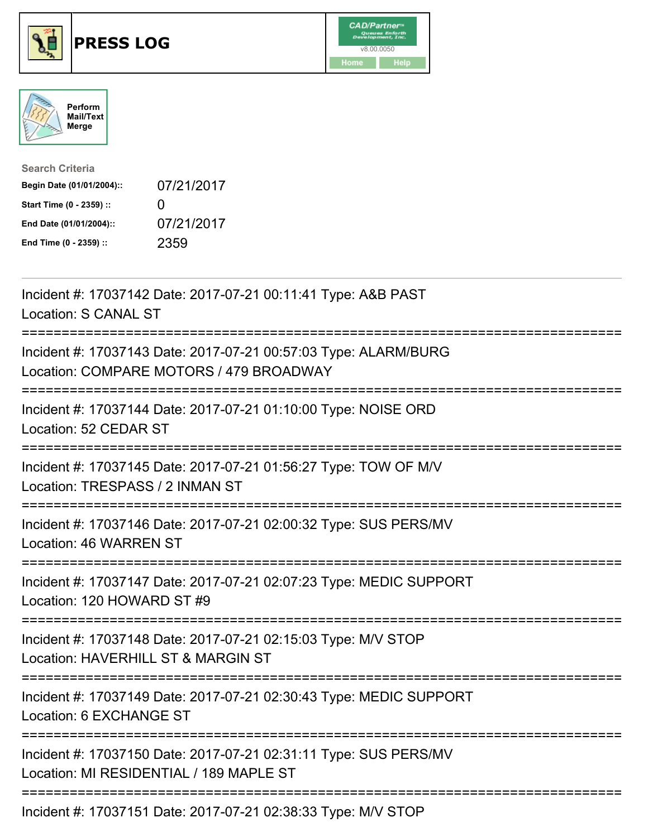





| <b>Search Criteria</b>    |              |
|---------------------------|--------------|
| Begin Date (01/01/2004):: | 07/21/2017   |
| Start Time (0 - 2359) ::  | $\mathbf{0}$ |
| End Date (01/01/2004)::   | 07/21/2017   |
| End Time (0 - 2359) ::    | 2359         |

| Incident #: 17037142 Date: 2017-07-21 00:11:41 Type: A&B PAST<br>Location: S CANAL ST                                                                |
|------------------------------------------------------------------------------------------------------------------------------------------------------|
| Incident #: 17037143 Date: 2017-07-21 00:57:03 Type: ALARM/BURG<br>Location: COMPARE MOTORS / 479 BROADWAY                                           |
| Incident #: 17037144 Date: 2017-07-21 01:10:00 Type: NOISE ORD<br>Location: 52 CEDAR ST<br>===========                                               |
| Incident #: 17037145 Date: 2017-07-21 01:56:27 Type: TOW OF M/V<br>Location: TRESPASS / 2 INMAN ST<br>------------                                   |
| Incident #: 17037146 Date: 2017-07-21 02:00:32 Type: SUS PERS/MV<br>Location: 46 WARREN ST<br>:=====================================                 |
| Incident #: 17037147 Date: 2017-07-21 02:07:23 Type: MEDIC SUPPORT<br>Location: 120 HOWARD ST #9                                                     |
| Incident #: 17037148 Date: 2017-07-21 02:15:03 Type: M/V STOP<br>Location: HAVERHILL ST & MARGIN ST<br>==========================                    |
| Incident #: 17037149 Date: 2017-07-21 02:30:43 Type: MEDIC SUPPORT<br>Location: 6 EXCHANGE ST                                                        |
| =====================================<br>Incident #: 17037150 Date: 2017-07-21 02:31:11 Type: SUS PERS/MV<br>Location: MI RESIDENTIAL / 189 MAPLE ST |
| Incident #: 17037151 Date: 2017-07-21 02:38:33 Type: M/V STOP                                                                                        |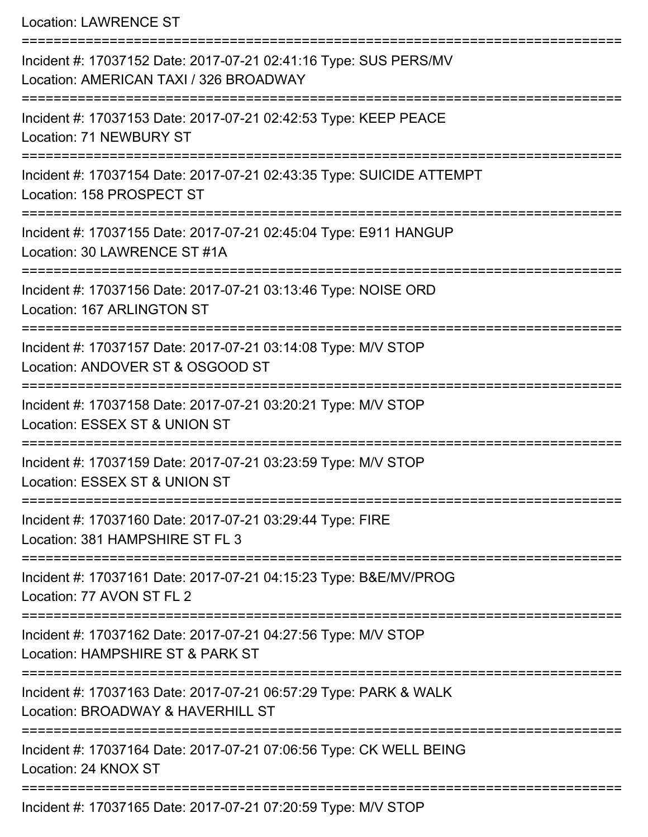Location: LAWRENCE ST

| Incident #: 17037152 Date: 2017-07-21 02:41:16 Type: SUS PERS/MV<br>Location: AMERICAN TAXI / 326 BROADWAY       |
|------------------------------------------------------------------------------------------------------------------|
| ==================<br>Incident #: 17037153 Date: 2017-07-21 02:42:53 Type: KEEP PEACE<br>Location: 71 NEWBURY ST |
| Incident #: 17037154 Date: 2017-07-21 02:43:35 Type: SUICIDE ATTEMPT<br>Location: 158 PROSPECT ST                |
| Incident #: 17037155 Date: 2017-07-21 02:45:04 Type: E911 HANGUP<br>Location: 30 LAWRENCE ST #1A                 |
| Incident #: 17037156 Date: 2017-07-21 03:13:46 Type: NOISE ORD<br>Location: 167 ARLINGTON ST                     |
| Incident #: 17037157 Date: 2017-07-21 03:14:08 Type: M/V STOP<br>Location: ANDOVER ST & OSGOOD ST                |
| Incident #: 17037158 Date: 2017-07-21 03:20:21 Type: M/V STOP<br>Location: ESSEX ST & UNION ST                   |
| Incident #: 17037159 Date: 2017-07-21 03:23:59 Type: M/V STOP<br>Location: ESSEX ST & UNION ST                   |
| Incident #: 17037160 Date: 2017-07-21 03:29:44 Type: FIRE<br>Location: 381 HAMPSHIRE ST FL 3                     |
| Incident #: 17037161 Date: 2017-07-21 04:15:23 Type: B&E/MV/PROG<br>Location: 77 AVON ST FL 2                    |
| Incident #: 17037162 Date: 2017-07-21 04:27:56 Type: M/V STOP<br>Location: HAMPSHIRE ST & PARK ST                |
| Incident #: 17037163 Date: 2017-07-21 06:57:29 Type: PARK & WALK<br>Location: BROADWAY & HAVERHILL ST            |
| Incident #: 17037164 Date: 2017-07-21 07:06:56 Type: CK WELL BEING<br>Location: 24 KNOX ST                       |
| Incident #: 17037165 Date: 2017-07-21 07:20:59 Type: M/V STOP                                                    |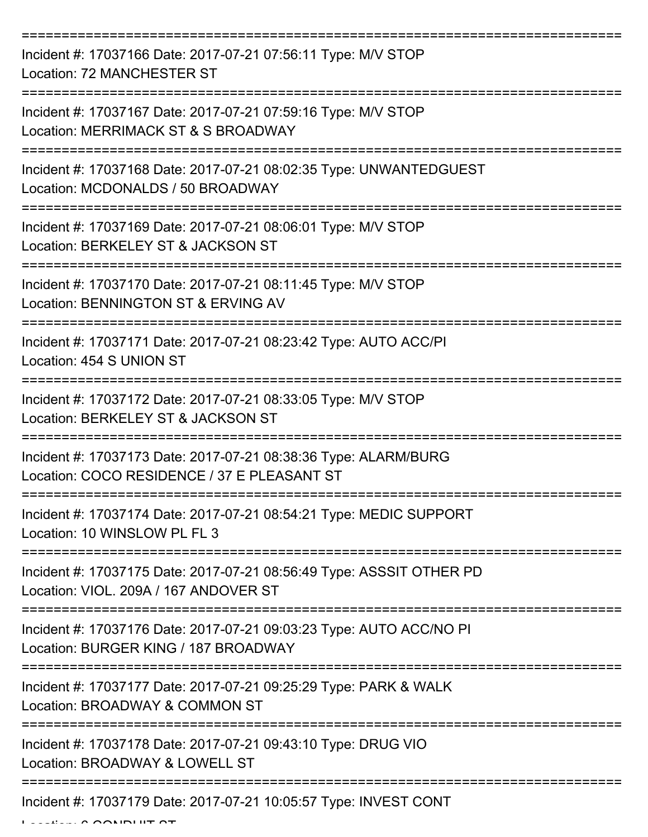=========================================================================== Incident #: 17037166 Date: 2017-07-21 07:56:11 Type: M/V STOP Location: 72 MANCHESTER ST =========================================================================== Incident #: 17037167 Date: 2017-07-21 07:59:16 Type: M/V STOP Location: MERRIMACK ST & S BROADWAY =========================================================================== Incident #: 17037168 Date: 2017-07-21 08:02:35 Type: UNWANTEDGUEST Location: MCDONALDS / 50 BROADWAY =========================================================================== Incident #: 17037169 Date: 2017-07-21 08:06:01 Type: M/V STOP Location: BERKELEY ST & JACKSON ST =========================================================================== Incident #: 17037170 Date: 2017-07-21 08:11:45 Type: M/V STOP Location: BENNINGTON ST & ERVING AV =========================================================================== Incident #: 17037171 Date: 2017-07-21 08:23:42 Type: AUTO ACC/PI Location: 454 S UNION ST =========================================================================== Incident #: 17037172 Date: 2017-07-21 08:33:05 Type: M/V STOP Location: BERKELEY ST & JACKSON ST =========================================================================== Incident #: 17037173 Date: 2017-07-21 08:38:36 Type: ALARM/BURG Location: COCO RESIDENCE / 37 E PLEASANT ST =========================================================================== Incident #: 17037174 Date: 2017-07-21 08:54:21 Type: MEDIC SUPPORT Location: 10 WINSLOW PL FL 3 =========================================================================== Incident #: 17037175 Date: 2017-07-21 08:56:49 Type: ASSSIT OTHER PD Location: VIOL. 209A / 167 ANDOVER ST =========================================================================== Incident #: 17037176 Date: 2017-07-21 09:03:23 Type: AUTO ACC/NO PI Location: BURGER KING / 187 BROADWAY =========================================================================== Incident #: 17037177 Date: 2017-07-21 09:25:29 Type: PARK & WALK Location: BROADWAY & COMMON ST =========================================================================== Incident #: 17037178 Date: 2017-07-21 09:43:10 Type: DRUG VIO Location: BROADWAY & LOWELL ST =========================================================================== Incident #: 17037179 Date: 2017-07-21 10:05:57 Type: INVEST CONT Location: 6 CONDUIT ST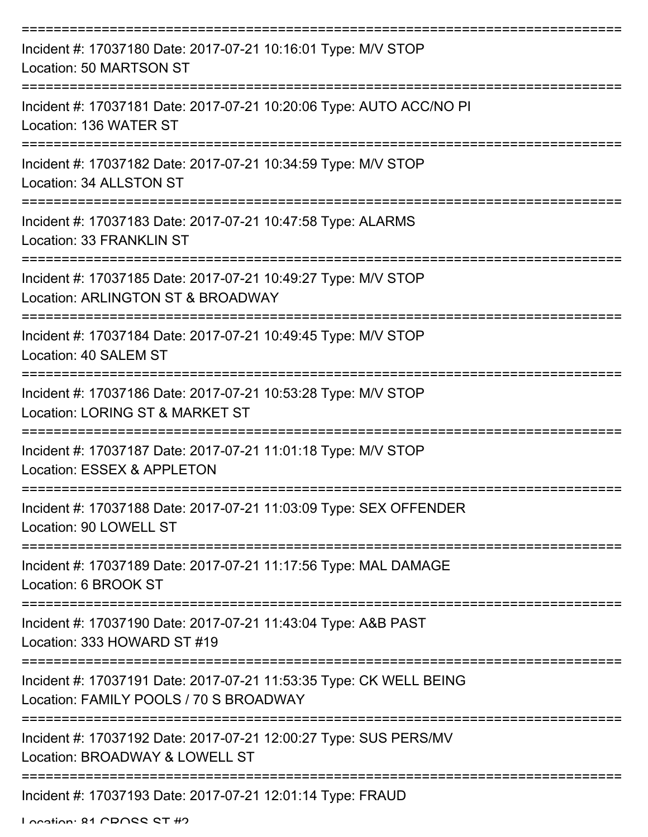| Incident #: 17037180 Date: 2017-07-21 10:16:01 Type: M/V STOP<br>Location: 50 MARTSON ST                     |
|--------------------------------------------------------------------------------------------------------------|
| Incident #: 17037181 Date: 2017-07-21 10:20:06 Type: AUTO ACC/NO PI<br>Location: 136 WATER ST                |
| Incident #: 17037182 Date: 2017-07-21 10:34:59 Type: M/V STOP<br>Location: 34 ALLSTON ST                     |
| Incident #: 17037183 Date: 2017-07-21 10:47:58 Type: ALARMS<br>Location: 33 FRANKLIN ST                      |
| Incident #: 17037185 Date: 2017-07-21 10:49:27 Type: M/V STOP<br>Location: ARLINGTON ST & BROADWAY           |
| Incident #: 17037184 Date: 2017-07-21 10:49:45 Type: M/V STOP<br>Location: 40 SALEM ST                       |
| Incident #: 17037186 Date: 2017-07-21 10:53:28 Type: M/V STOP<br>Location: LORING ST & MARKET ST             |
| Incident #: 17037187 Date: 2017-07-21 11:01:18 Type: M/V STOP<br>Location: ESSEX & APPLETON                  |
| Incident #: 17037188 Date: 2017-07-21 11:03:09 Type: SEX OFFENDER<br>Location: 90 LOWELL ST                  |
| Incident #: 17037189 Date: 2017-07-21 11:17:56 Type: MAL DAMAGE<br>Location: 6 BROOK ST                      |
| Incident #: 17037190 Date: 2017-07-21 11:43:04 Type: A&B PAST<br>Location: 333 HOWARD ST #19                 |
| Incident #: 17037191 Date: 2017-07-21 11:53:35 Type: CK WELL BEING<br>Location: FAMILY POOLS / 70 S BROADWAY |
| Incident #: 17037192 Date: 2017-07-21 12:00:27 Type: SUS PERS/MV<br>Location: BROADWAY & LOWELL ST           |
| Incident #: 17037193 Date: 2017-07-21 12:01:14 Type: FRAUD                                                   |

Location: 81 CDOCC CT #2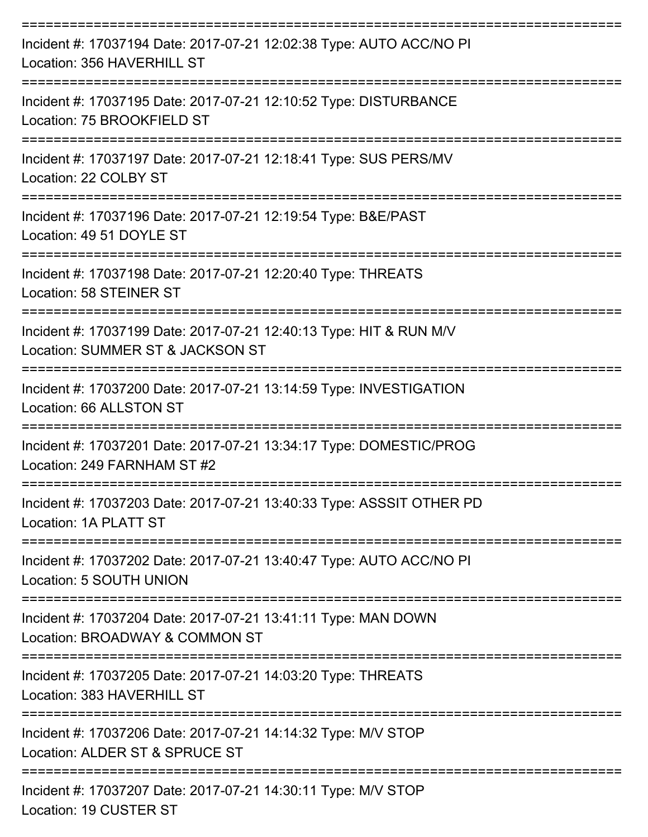| Incident #: 17037194 Date: 2017-07-21 12:02:38 Type: AUTO ACC/NO PI<br>Location: 356 HAVERHILL ST      |
|--------------------------------------------------------------------------------------------------------|
| Incident #: 17037195 Date: 2017-07-21 12:10:52 Type: DISTURBANCE<br>Location: 75 BROOKFIELD ST         |
| Incident #: 17037197 Date: 2017-07-21 12:18:41 Type: SUS PERS/MV<br>Location: 22 COLBY ST              |
| Incident #: 17037196 Date: 2017-07-21 12:19:54 Type: B&E/PAST<br>Location: 49 51 DOYLE ST              |
| Incident #: 17037198 Date: 2017-07-21 12:20:40 Type: THREATS<br>Location: 58 STEINER ST                |
| Incident #: 17037199 Date: 2017-07-21 12:40:13 Type: HIT & RUN M/V<br>Location: SUMMER ST & JACKSON ST |
| Incident #: 17037200 Date: 2017-07-21 13:14:59 Type: INVESTIGATION<br>Location: 66 ALLSTON ST          |
| Incident #: 17037201 Date: 2017-07-21 13:34:17 Type: DOMESTIC/PROG<br>Location: 249 FARNHAM ST #2      |
| Incident #: 17037203 Date: 2017-07-21 13:40:33 Type: ASSSIT OTHER PD<br>Location: 1A PLATT ST          |
| Incident #: 17037202 Date: 2017-07-21 13:40:47 Type: AUTO ACC/NO PI<br>Location: 5 SOUTH UNION         |
| Incident #: 17037204 Date: 2017-07-21 13:41:11 Type: MAN DOWN<br>Location: BROADWAY & COMMON ST        |
| Incident #: 17037205 Date: 2017-07-21 14:03:20 Type: THREATS<br>Location: 383 HAVERHILL ST             |
| Incident #: 17037206 Date: 2017-07-21 14:14:32 Type: M/V STOP<br>Location: ALDER ST & SPRUCE ST        |
| Incident #: 17037207 Date: 2017-07-21 14:30:11 Type: M/V STOP                                          |

Location: 19 CUSTER ST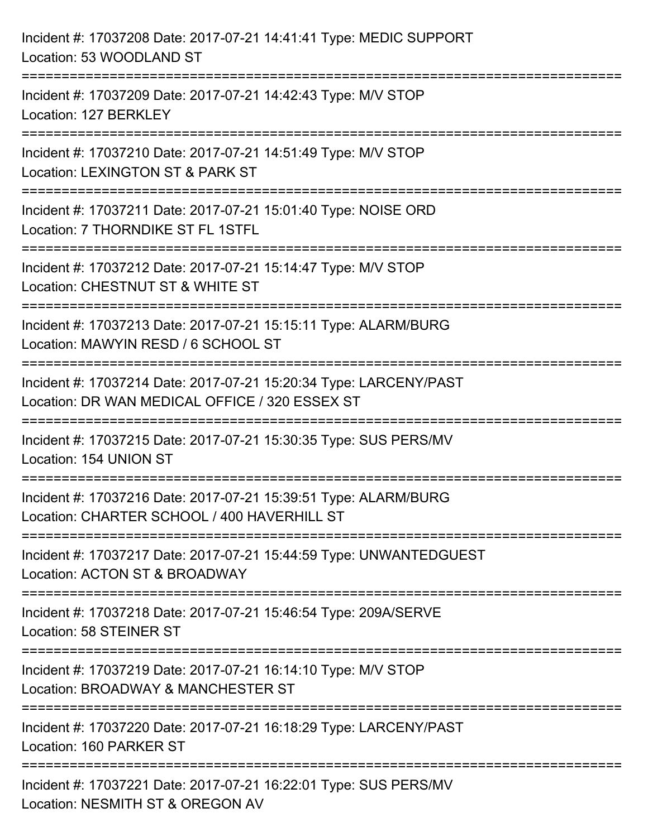| Incident #: 17037208 Date: 2017-07-21 14:41:41 Type: MEDIC SUPPORT<br>Location: 53 WOODLAND ST                                         |
|----------------------------------------------------------------------------------------------------------------------------------------|
| Incident #: 17037209 Date: 2017-07-21 14:42:43 Type: M/V STOP<br>Location: 127 BERKLEY<br>----------------------------------           |
| Incident #: 17037210 Date: 2017-07-21 14:51:49 Type: M/V STOP<br>Location: LEXINGTON ST & PARK ST                                      |
| Incident #: 17037211 Date: 2017-07-21 15:01:40 Type: NOISE ORD<br>Location: 7 THORNDIKE ST FL 1STFL                                    |
| Incident #: 17037212 Date: 2017-07-21 15:14:47 Type: M/V STOP<br>Location: CHESTNUT ST & WHITE ST                                      |
| Incident #: 17037213 Date: 2017-07-21 15:15:11 Type: ALARM/BURG<br>Location: MAWYIN RESD / 6 SCHOOL ST<br>---------------------------- |
| Incident #: 17037214 Date: 2017-07-21 15:20:34 Type: LARCENY/PAST<br>Location: DR WAN MEDICAL OFFICE / 320 ESSEX ST                    |
| Incident #: 17037215 Date: 2017-07-21 15:30:35 Type: SUS PERS/MV<br>Location: 154 UNION ST                                             |
| Incident #: 17037216 Date: 2017-07-21 15:39:51 Type: ALARM/BURG<br>Location: CHARTER SCHOOL / 400 HAVERHILL ST                         |
| Incident #: 17037217 Date: 2017-07-21 15:44:59 Type: UNWANTEDGUEST<br>Location: ACTON ST & BROADWAY                                    |
| Incident #: 17037218 Date: 2017-07-21 15:46:54 Type: 209A/SERVE<br>Location: 58 STEINER ST                                             |
| Incident #: 17037219 Date: 2017-07-21 16:14:10 Type: M/V STOP<br>Location: BROADWAY & MANCHESTER ST                                    |
| Incident #: 17037220 Date: 2017-07-21 16:18:29 Type: LARCENY/PAST<br>Location: 160 PARKER ST                                           |
| Incident #: 17037221 Date: 2017-07-21 16:22:01 Type: SUS PERS/MV<br>Location: NESMITH ST & OREGON AV                                   |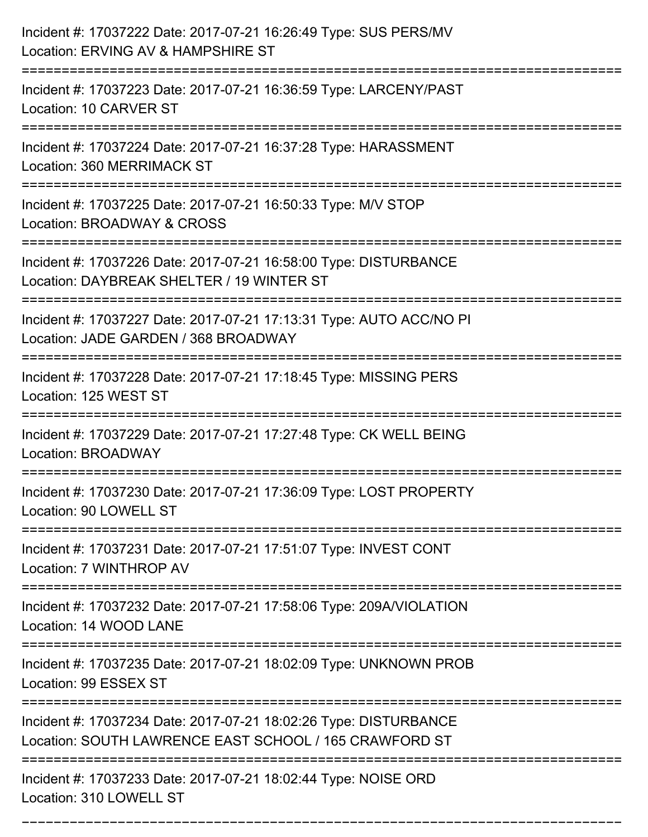| Incident #: 17037222 Date: 2017-07-21 16:26:49 Type: SUS PERS/MV<br>Location: ERVING AV & HAMPSHIRE ST                          |
|---------------------------------------------------------------------------------------------------------------------------------|
| Incident #: 17037223 Date: 2017-07-21 16:36:59 Type: LARCENY/PAST<br>Location: 10 CARVER ST                                     |
| Incident #: 17037224 Date: 2017-07-21 16:37:28 Type: HARASSMENT<br>Location: 360 MERRIMACK ST                                   |
| Incident #: 17037225 Date: 2017-07-21 16:50:33 Type: M/V STOP<br>Location: BROADWAY & CROSS                                     |
| Incident #: 17037226 Date: 2017-07-21 16:58:00 Type: DISTURBANCE<br>Location: DAYBREAK SHELTER / 19 WINTER ST<br>============== |
| Incident #: 17037227 Date: 2017-07-21 17:13:31 Type: AUTO ACC/NO PI<br>Location: JADE GARDEN / 368 BROADWAY                     |
| Incident #: 17037228 Date: 2017-07-21 17:18:45 Type: MISSING PERS<br>Location: 125 WEST ST                                      |
| Incident #: 17037229 Date: 2017-07-21 17:27:48 Type: CK WELL BEING<br>Location: BROADWAY                                        |
| Incident #: 17037230 Date: 2017-07-21 17:36:09 Type: LOST PROPERTY<br>Location: 90 LOWELL ST                                    |
| Incident #: 17037231 Date: 2017-07-21 17:51:07 Type: INVEST CONT<br>Location: 7 WINTHROP AV                                     |
| Incident #: 17037232 Date: 2017-07-21 17:58:06 Type: 209A/VIOLATION<br>Location: 14 WOOD LANE                                   |
| Incident #: 17037235 Date: 2017-07-21 18:02:09 Type: UNKNOWN PROB<br>Location: 99 ESSEX ST                                      |
| Incident #: 17037234 Date: 2017-07-21 18:02:26 Type: DISTURBANCE<br>Location: SOUTH LAWRENCE EAST SCHOOL / 165 CRAWFORD ST      |
| Incident #: 17037233 Date: 2017-07-21 18:02:44 Type: NOISE ORD<br>Location: 310 LOWELL ST                                       |

===========================================================================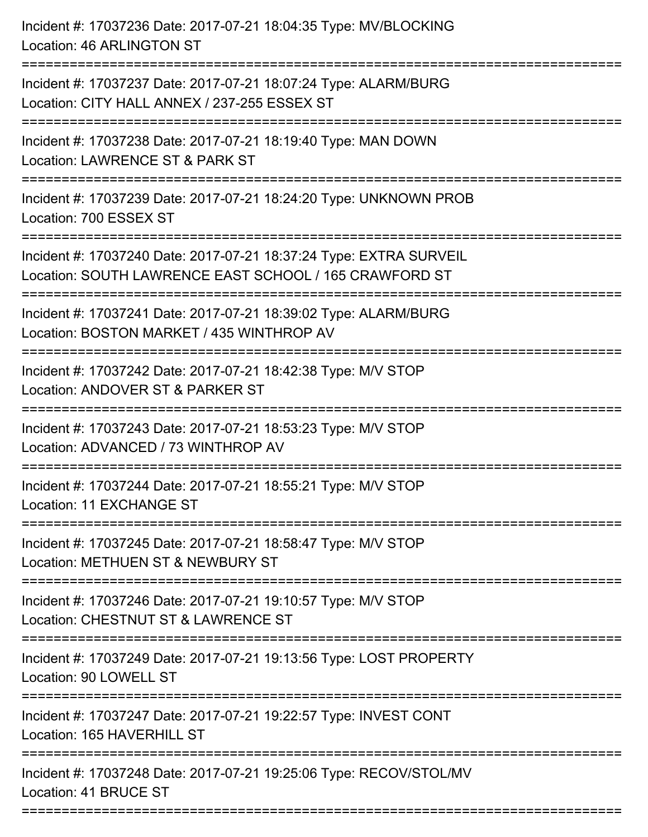| Incident #: 17037236 Date: 2017-07-21 18:04:35 Type: MV/BLOCKING<br>Location: 46 ARLINGTON ST                                |
|------------------------------------------------------------------------------------------------------------------------------|
| Incident #: 17037237 Date: 2017-07-21 18:07:24 Type: ALARM/BURG<br>Location: CITY HALL ANNEX / 237-255 ESSEX ST              |
| Incident #: 17037238 Date: 2017-07-21 18:19:40 Type: MAN DOWN<br>Location: LAWRENCE ST & PARK ST                             |
| Incident #: 17037239 Date: 2017-07-21 18:24:20 Type: UNKNOWN PROB<br>Location: 700 ESSEX ST                                  |
| Incident #: 17037240 Date: 2017-07-21 18:37:24 Type: EXTRA SURVEIL<br>Location: SOUTH LAWRENCE EAST SCHOOL / 165 CRAWFORD ST |
| Incident #: 17037241 Date: 2017-07-21 18:39:02 Type: ALARM/BURG<br>Location: BOSTON MARKET / 435 WINTHROP AV                 |
| Incident #: 17037242 Date: 2017-07-21 18:42:38 Type: M/V STOP<br>Location: ANDOVER ST & PARKER ST                            |
| Incident #: 17037243 Date: 2017-07-21 18:53:23 Type: M/V STOP<br>Location: ADVANCED / 73 WINTHROP AV                         |
| Incident #: 17037244 Date: 2017-07-21 18:55:21 Type: M/V STOP<br>Location: 11 EXCHANGE ST                                    |
| Incident #: 17037245 Date: 2017-07-21 18:58:47 Type: M/V STOP<br>Location: METHUEN ST & NEWBURY ST                           |
| Incident #: 17037246 Date: 2017-07-21 19:10:57 Type: M/V STOP<br>Location: CHESTNUT ST & LAWRENCE ST                         |
| Incident #: 17037249 Date: 2017-07-21 19:13:56 Type: LOST PROPERTY<br>Location: 90 LOWELL ST                                 |
| Incident #: 17037247 Date: 2017-07-21 19:22:57 Type: INVEST CONT<br>Location: 165 HAVERHILL ST                               |
| Incident #: 17037248 Date: 2017-07-21 19:25:06 Type: RECOV/STOL/MV<br>Location: 41 BRUCE ST                                  |
|                                                                                                                              |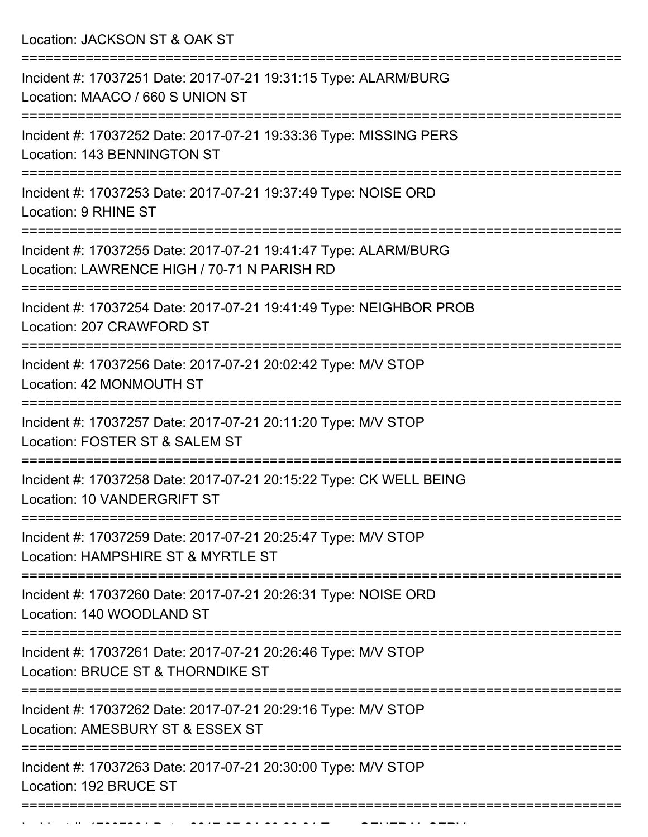Location: JACKSON ST & OAK ST

| Incident #: 17037251 Date: 2017-07-21 19:31:15 Type: ALARM/BURG<br>Location: MAACO / 660 S UNION ST            |
|----------------------------------------------------------------------------------------------------------------|
| Incident #: 17037252 Date: 2017-07-21 19:33:36 Type: MISSING PERS<br>Location: 143 BENNINGTON ST               |
| Incident #: 17037253 Date: 2017-07-21 19:37:49 Type: NOISE ORD<br>Location: 9 RHINE ST                         |
| Incident #: 17037255 Date: 2017-07-21 19:41:47 Type: ALARM/BURG<br>Location: LAWRENCE HIGH / 70-71 N PARISH RD |
| Incident #: 17037254 Date: 2017-07-21 19:41:49 Type: NEIGHBOR PROB<br>Location: 207 CRAWFORD ST                |
| Incident #: 17037256 Date: 2017-07-21 20:02:42 Type: M/V STOP<br>Location: 42 MONMOUTH ST                      |
| Incident #: 17037257 Date: 2017-07-21 20:11:20 Type: M/V STOP<br>Location: FOSTER ST & SALEM ST                |
| Incident #: 17037258 Date: 2017-07-21 20:15:22 Type: CK WELL BEING<br>Location: 10 VANDERGRIFT ST              |
| Incident #: 17037259 Date: 2017-07-21 20:25:47 Type: M/V STOP<br>Location: HAMPSHIRE ST & MYRTLE ST            |
| Incident #: 17037260 Date: 2017-07-21 20:26:31 Type: NOISE ORD<br>Location: 140 WOODLAND ST                    |
| Incident #: 17037261 Date: 2017-07-21 20:26:46 Type: M/V STOP<br>Location: BRUCE ST & THORNDIKE ST             |
| Incident #: 17037262 Date: 2017-07-21 20:29:16 Type: M/V STOP<br>Location: AMESBURY ST & ESSEX ST              |
| Incident #: 17037263 Date: 2017-07-21 20:30:00 Type: M/V STOP<br>Location: 192 BRUCE ST                        |
|                                                                                                                |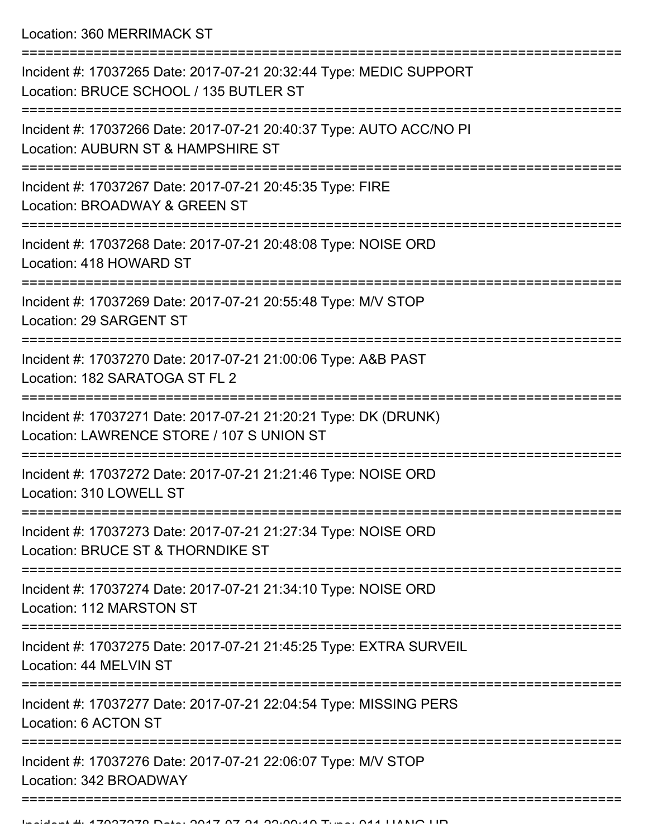Location: 360 MERRIMACK ST

| Incident #: 17037265 Date: 2017-07-21 20:32:44 Type: MEDIC SUPPORT<br>Location: BRUCE SCHOOL / 135 BUTLER ST |
|--------------------------------------------------------------------------------------------------------------|
| Incident #: 17037266 Date: 2017-07-21 20:40:37 Type: AUTO ACC/NO PI<br>Location: AUBURN ST & HAMPSHIRE ST    |
| Incident #: 17037267 Date: 2017-07-21 20:45:35 Type: FIRE<br>Location: BROADWAY & GREEN ST                   |
| Incident #: 17037268 Date: 2017-07-21 20:48:08 Type: NOISE ORD<br>Location: 418 HOWARD ST                    |
| Incident #: 17037269 Date: 2017-07-21 20:55:48 Type: M/V STOP<br>Location: 29 SARGENT ST                     |
| Incident #: 17037270 Date: 2017-07-21 21:00:06 Type: A&B PAST<br>Location: 182 SARATOGA ST FL 2              |
| Incident #: 17037271 Date: 2017-07-21 21:20:21 Type: DK (DRUNK)<br>Location: LAWRENCE STORE / 107 S UNION ST |
| Incident #: 17037272 Date: 2017-07-21 21:21:46 Type: NOISE ORD<br>Location: 310 LOWELL ST                    |
| Incident #: 17037273 Date: 2017-07-21 21:27:34 Type: NOISE ORD<br>Location: BRUCE ST & THORNDIKE ST          |
| Incident #: 17037274 Date: 2017-07-21 21:34:10 Type: NOISE ORD<br>Location: 112 MARSTON ST                   |
| Incident #: 17037275 Date: 2017-07-21 21:45:25 Type: EXTRA SURVEIL<br>Location: 44 MELVIN ST                 |
| Incident #: 17037277 Date: 2017-07-21 22:04:54 Type: MISSING PERS<br>Location: 6 ACTON ST                    |
| Incident #: 17037276 Date: 2017-07-21 22:06:07 Type: M/V STOP<br>Location: 342 BROADWAY                      |
|                                                                                                              |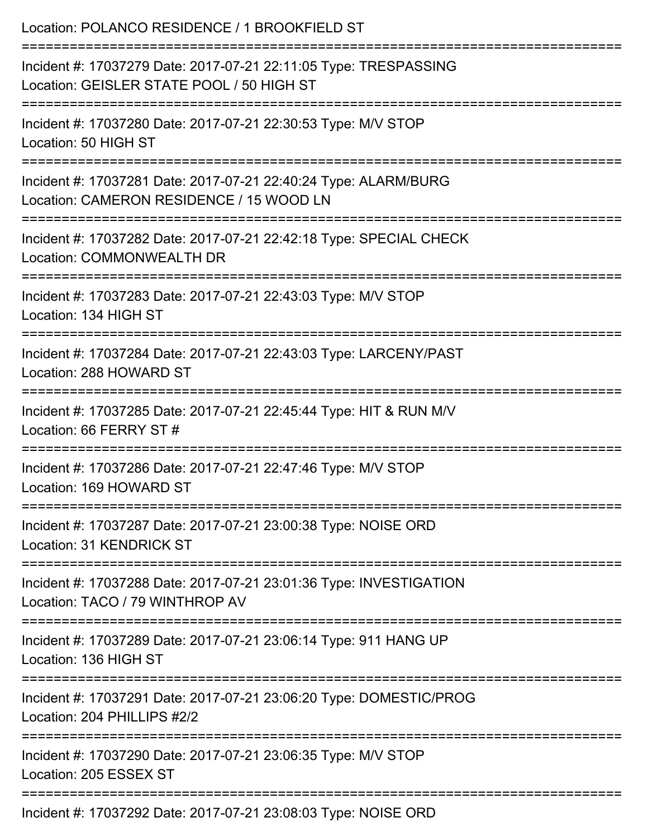| Location: POLANCO RESIDENCE / 1 BROOKFIELD ST                                                                                          |
|----------------------------------------------------------------------------------------------------------------------------------------|
| Incident #: 17037279 Date: 2017-07-21 22:11:05 Type: TRESPASSING<br>Location: GEISLER STATE POOL / 50 HIGH ST                          |
| Incident #: 17037280 Date: 2017-07-21 22:30:53 Type: M/V STOP<br>Location: 50 HIGH ST                                                  |
| Incident #: 17037281 Date: 2017-07-21 22:40:24 Type: ALARM/BURG<br>Location: CAMERON RESIDENCE / 15 WOOD LN                            |
| Incident #: 17037282 Date: 2017-07-21 22:42:18 Type: SPECIAL CHECK<br>Location: COMMONWEALTH DR<br>=================================== |
| Incident #: 17037283 Date: 2017-07-21 22:43:03 Type: M/V STOP<br>Location: 134 HIGH ST                                                 |
| Incident #: 17037284 Date: 2017-07-21 22:43:03 Type: LARCENY/PAST<br>Location: 288 HOWARD ST                                           |
| Incident #: 17037285 Date: 2017-07-21 22:45:44 Type: HIT & RUN M/V<br>Location: 66 FERRY ST#                                           |
| Incident #: 17037286 Date: 2017-07-21 22:47:46 Type: M/V STOP<br>Location: 169 HOWARD ST                                               |
| Incident #: 17037287 Date: 2017-07-21 23:00:38 Type: NOISE ORD<br><b>Location: 31 KENDRICK ST</b>                                      |
| Incident #: 17037288 Date: 2017-07-21 23:01:36 Type: INVESTIGATION<br>Location: TACO / 79 WINTHROP AV                                  |
| Incident #: 17037289 Date: 2017-07-21 23:06:14 Type: 911 HANG UP<br>Location: 136 HIGH ST                                              |
| Incident #: 17037291 Date: 2017-07-21 23:06:20 Type: DOMESTIC/PROG<br>Location: 204 PHILLIPS #2/2                                      |
| Incident #: 17037290 Date: 2017-07-21 23:06:35 Type: M/V STOP<br>Location: 205 ESSEX ST                                                |
|                                                                                                                                        |

Incident #: 17037292 Date: 2017-07-21 23:08:03 Type: NOISE ORD